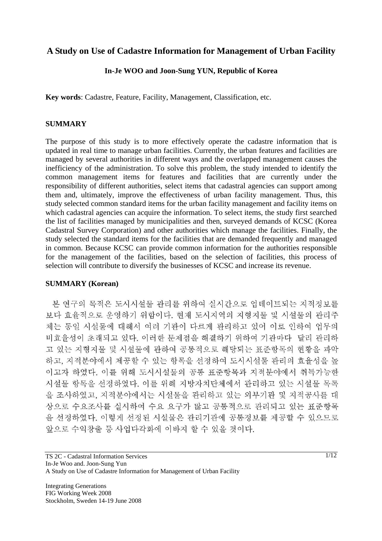# **A Study on Use of Cadastre Information for Management of Urban Facility**

### **In-Je WOO and Joon-Sung YUN, Republic of Korea**

**Key words**: Cadastre, Feature, Facility, Management, Classification, etc.

#### **SUMMARY**

The purpose of this study is to more effectively operate the cadastre information that is updated in real time to manage urban facilities. Currently, the urban features and facilities are managed by several authorities in different ways and the overlapped management causes the inefficiency of the administration. To solve this problem, the study intended to identify the common management items for features and facilities that are currently under the responsibility of different authorities, select items that cadastral agencies can support among them and, ultimately, improve the effectiveness of urban facility management. Thus, this study selected common standard items for the urban facility management and facility items on which cadastral agencies can acquire the information. To select items, the study first searched the list of facilities managed by municipalities and then, surveyed demands of KCSC (Korea Cadastral Survey Corporation) and other authorities which manage the facilities. Finally, the study selected the standard items for the facilities that are demanded frequently and managed in common. Because KCSC can provide common information for the authorities responsible for the management of the facilities, based on the selection of facilities, this process of selection will contribute to diversify the businesses of KCSC and increase its revenue.

#### **SUMMARY (Korean)**

본 연구의 목적은 도시시설물 관리를 위하여 실시간으로 업데이트되는 지적정보를 보다 효율적으로 운영하기 위함이다. 현재 도시지역의 지형지물 및 시설물의 관리주 체는 동일 시설물에 대해서 여러 기관이 다르게 관리하고 있어 이로 인하여 업무의 비효율성이 초래되고 있다. 이러한 문제점을 해결하기 위하여 기관마다 달리 관리하 고 있는 지형지물 및 시설물에 관하여 공통적으로 해당되는 표준항목의 현황을 파악 하고, 지적분야에서 제공할 수 있는 항목을 선정하여 도시시설물 관리의 효율성을 높 이고자 하였다. 이를 위해 도시시설물의 공통 표준항목과 지적분야에서 취득가능한 시설물 항목을 선정하였다. 이를 위해 지방자치단체에서 관리하고 있는 시설물 목록 을 조사하였고, 지적분야에서는 시설물을 관리하고 있는 외부기관 및 지적공사를 대 상으로 수요조사를 실시하여 수요 요구가 많고 공통적으로 관리되고 있는 표준항목 을 선정하였다. 이렇게 선정된 시설물은 관리기관에 공통정보를 제공할 수 있으므로 앞으로 수익창출 등 사업다각화에 이바지 할 수 있을 것이다.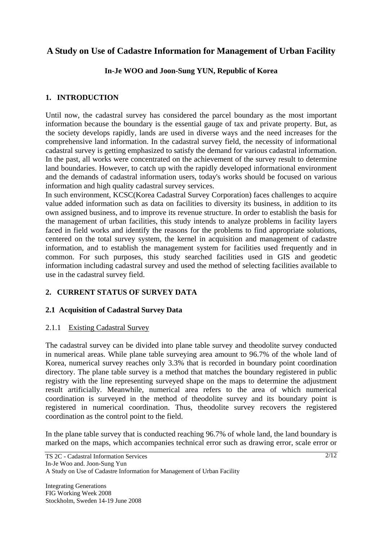# **A Study on Use of Cadastre Information for Management of Urban Facility**

# **In-Je WOO and Joon-Sung YUN, Republic of Korea**

### **1. INTRODUCTION**

Until now, the cadastral survey has considered the parcel boundary as the most important information because the boundary is the essential gauge of tax and private property. But, as the society develops rapidly, lands are used in diverse ways and the need increases for the comprehensive land information. In the cadastral survey field, the necessity of informational cadastral survey is getting emphasized to satisfy the demand for various cadastral information. In the past, all works were concentrated on the achievement of the survey result to determine land boundaries. However, to catch up with the rapidly developed informational environment and the demands of cadastral information users, today's works should be focused on various information and high quality cadastral survey services.

In such environment, KCSC(Korea Cadastral Survey Corporation) faces challenges to acquire value added information such as data on facilities to diversity its business, in addition to its own assigned business, and to improve its revenue structure. In order to establish the basis for the management of urban facilities, this study intends to analyze problems in facility layers faced in field works and identify the reasons for the problems to find appropriate solutions, centered on the total survey system, the kernel in acquisition and management of cadastre information, and to establish the management system for facilities used frequently and in common. For such purposes, this study searched facilities used in GIS and geodetic information including cadastral survey and used the method of selecting facilities available to use in the cadastral survey field.

### **2. CURRENT STATUS OF SURVEY DATA**

### **2.1 Acquisition of Cadastral Survey Data**

### 2.1.1 Existing Cadastral Survey

The cadastral survey can be divided into plane table survey and theodolite survey conducted in numerical areas. While plane table surveying area amount to 96.7% of the whole land of Korea, numerical survey reaches only 3.3% that is recorded in boundary point coordination directory. The plane table survey is a method that matches the boundary registered in public registry with the line representing surveyed shape on the maps to determine the adjustment result artificially. Meanwhile, numerical area refers to the area of which numerical coordination is surveyed in the method of theodolite survey and its boundary point is registered in numerical coordination. Thus, theodolite survey recovers the registered coordination as the control point to the field.

In the plane table survey that is conducted reaching 96.7% of whole land, the land boundary is marked on the maps, which accompanies technical error such as drawing error, scale error or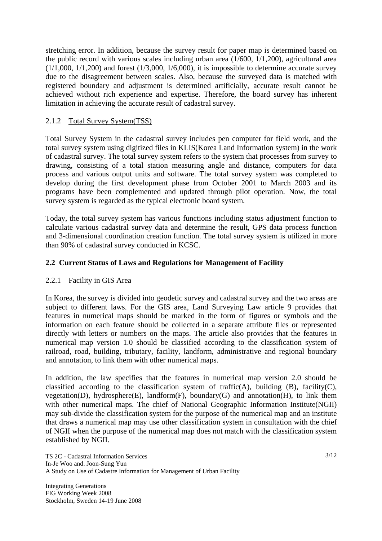stretching error. In addition, because the survey result for paper map is determined based on the public record with various scales including urban area (1/600, 1/1,200), agricultural area  $(1/1,000, 1/1,200)$  and forest  $(1/3,000, 1/6,000)$ , it is impossible to determine accurate survey due to the disagreement between scales. Also, because the surveyed data is matched with registered boundary and adjustment is determined artificially, accurate result cannot be achieved without rich experience and expertise. Therefore, the board survey has inherent limitation in achieving the accurate result of cadastral survey.

# 2.1.2 Total Survey System(TSS)

Total Survey System in the cadastral survey includes pen computer for field work, and the total survey system using digitized files in KLIS(Korea Land Information system) in the work of cadastral survey. The total survey system refers to the system that processes from survey to drawing, consisting of a total station measuring angle and distance, computers for data process and various output units and software. The total survey system was completed to develop during the first development phase from October 2001 to March 2003 and its programs have been complemented and updated through pilot operation. Now, the total survey system is regarded as the typical electronic board system.

Today, the total survey system has various functions including status adjustment function to calculate various cadastral survey data and determine the result, GPS data process function and 3-dimensional coordination creation function. The total survey system is utilized in more than 90% of cadastral survey conducted in KCSC.

# **2.2 Current Status of Laws and Regulations for Management of Facility**

### 2.2.1 Facility in GIS Area

In Korea, the survey is divided into geodetic survey and cadastral survey and the two areas are subject to different laws. For the GIS area, Land Surveying Law article 9 provides that features in numerical maps should be marked in the form of figures or symbols and the information on each feature should be collected in a separate attribute files or represented directly with letters or numbers on the maps. The article also provides that the features in numerical map version 1.0 should be classified according to the classification system of railroad, road, building, tributary, facility, landform, administrative and regional boundary and annotation, to link them with other numerical maps.

In addition, the law specifies that the features in numerical map version 2.0 should be classified according to the classification system of traffic(A), building  $(B)$ , facility $(C)$ , vegetation(D), hydrosphere(E), landform(F), boundary(G) and annotation(H), to link them with other numerical maps. The chief of National Geographic Information Institute(NGII) may sub-divide the classification system for the purpose of the numerical map and an institute that draws a numerical map may use other classification system in consultation with the chief of NGII when the purpose of the numerical map does not match with the classification system established by NGII.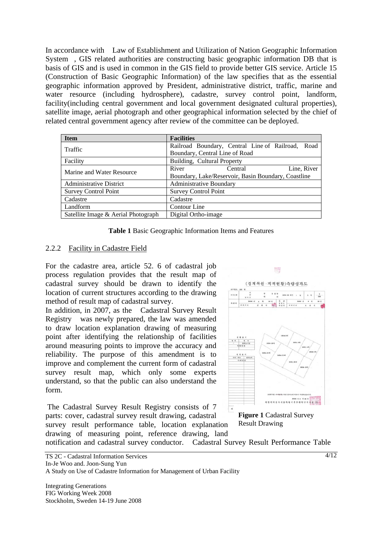In accordance with Law of Establishment and Utilization of Nation Geographic Information System, GIS related authorities are constructing basic geographic information DB that is basis of GIS and is used in common in the GIS field to provide better GIS service. Article 15 (Construction of Basic Geographic Information) of the law specifies that as the essential geographic information approved by President, administrative district, traffic, marine and water resource (including hydrosphere), cadastre, survey control point, landform, facility(including central government and local government designated cultural properties), satellite image, aerial photograph and other geographical information selected by the chief of related central government agency after review of the committee can be deployed.

| <b>Item</b>                         | <b>Facilities</b>                                   |  |  |
|-------------------------------------|-----------------------------------------------------|--|--|
| Traffic                             | Railroad Boundary, Central Line of Railroad, Road   |  |  |
|                                     | Boundary, Central Line of Road                      |  |  |
| Facility                            | Building, Cultural Property                         |  |  |
| Marine and Water Resource           | River<br>Line, River<br>Central                     |  |  |
|                                     | Boundary, Lake/Reservoir, Basin Boundary, Coastline |  |  |
| Administrative District             | <b>Administrative Boundary</b>                      |  |  |
| <b>Survey Control Point</b>         | <b>Survey Control Point</b>                         |  |  |
| Cadastre                            | Cadastre                                            |  |  |
| Landform                            | Contour Line                                        |  |  |
| Satellite Image & Aerial Photograph | Digital Ortho-image                                 |  |  |



#### 2.2.2 Facility in Cadastre Field

For the cadastre area, article 52. 6 of cadastral job process regulation provides that the result map of cadastral survey should be drawn to identify the location of current structures according to the drawing method of result map of cadastral survey.

In addition, in 2007, as the Cadastral Survey Result Registry was newly prepared, the law was amended to draw location explanation drawing of measuring point after identifying the relationship of facilities around measuring points to improve the accuracy and reliability. The purpose of this amendment is to improve and complement the current form of cadastral survey result map, which only some experts understand, so that the public can also understand the form.

The Cadastral Survey Result Registry consists of 7 parts: cover, cadastral survey result drawing, cadastral survey result performance table, location explanation drawing of measuring point, reference drawing, land



**Figure 1** Cadastral Survey Result Drawing

notification and cadastral survey conductor. Cadastral Survey Result Performance Table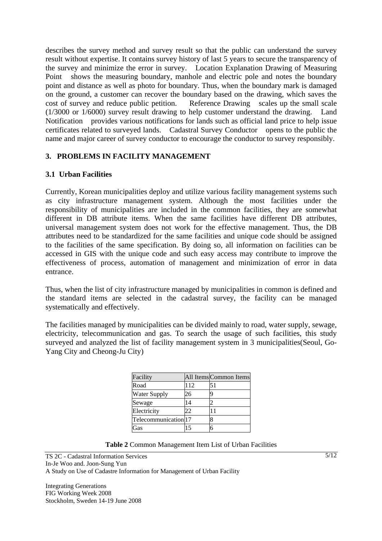describes the survey method and survey result so that the public can understand the survey result without expertise. It contains survey history of last 5 years to secure the transparency of the survey and minimize the error in survey. Location Explanation Drawing of Measuring Point shows the measuring boundary, manhole and electric pole and notes the boundary point and distance as well as photo for boundary. Thus, when the boundary mark is damaged on the ground, a customer can recover the boundary based on the drawing, which saves the cost of survey and reduce public petition. Reference Drawing scales up the small scale (1/3000 or 1/6000) survey result drawing to help customer understand the drawing. Land Notification provides various notifications for lands such as official land price to help issue certificates related to surveyed lands. Cadastral Survey Conductor opens to the public the name and major career of survey conductor to encourage the conductor to survey responsibly.

# **3. PROBLEMS IN FACILITY MANAGEMENT**

### **3.1 Urban Facilities**

Currently, Korean municipalities deploy and utilize various facility management systems such as city infrastructure management system. Although the most facilities under the responsibility of municipalities are included in the common facilities, they are somewhat different in DB attribute items. When the same facilities have different DB attributes, universal management system does not work for the effective management. Thus, the DB attributes need to be standardized for the same facilities and unique code should be assigned to the facilities of the same specification. By doing so, all information on facilities can be accessed in GIS with the unique code and such easy access may contribute to improve the effectiveness of process, automation of management and minimization of error in data entrance.

Thus, when the list of city infrastructure managed by municipalities in common is defined and the standard items are selected in the cadastral survey, the facility can be managed systematically and effectively.

The facilities managed by municipalities can be divided mainly to road, water supply, sewage, electricity, telecommunication and gas. To search the usage of such facilities, this study surveyed and analyzed the list of facility management system in 3 municipalities(Seoul, Go-Yang City and Cheong-Ju City)

| Facility             |     | All Items Common Items |
|----------------------|-----|------------------------|
| Road                 | 112 | 51                     |
| <b>Water Supply</b>  | 26  | q                      |
| Sewage               | 14  |                        |
| Electricity          | 22  |                        |
| Telecommunication 17 |     | 8                      |
| Gas                  |     | б                      |

| Table 2 Common Management Item List of Urban Facilities |  |
|---------------------------------------------------------|--|
|---------------------------------------------------------|--|

TS 2C - Cadastral Information Services In-Je Woo and. Joon-Sung Yun A Study on Use of Cadastre Information for Management of Urban Facility

Integrating Generations FIG Working Week 2008 Stockholm, Sweden 14-19 June 2008  $5/12$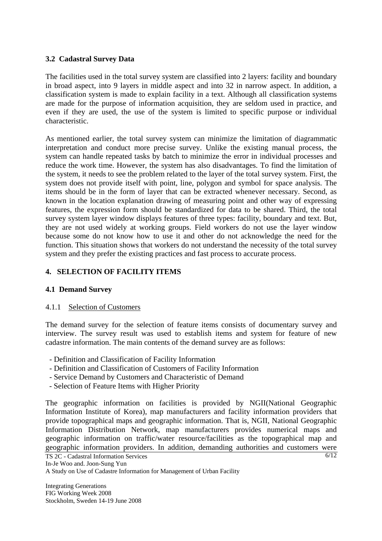### **3.2 Cadastral Survey Data**

The facilities used in the total survey system are classified into 2 layers: facility and boundary in broad aspect, into 9 layers in middle aspect and into 32 in narrow aspect. In addition, a classification system is made to explain facility in a text. Although all classification systems are made for the purpose of information acquisition, they are seldom used in practice, and even if they are used, the use of the system is limited to specific purpose or individual characteristic.

As mentioned earlier, the total survey system can minimize the limitation of diagrammatic interpretation and conduct more precise survey. Unlike the existing manual process, the system can handle repeated tasks by batch to minimize the error in individual processes and reduce the work time. However, the system has also disadvantages. To find the limitation of the system, it needs to see the problem related to the layer of the total survey system. First, the system does not provide itself with point, line, polygon and symbol for space analysis. The items should be in the form of layer that can be extracted whenever necessary. Second, as known in the location explanation drawing of measuring point and other way of expressing features, the expression form should be standardized for data to be shared. Third, the total survey system layer window displays features of three types: facility, boundary and text. But, they are not used widely at working groups. Field workers do not use the layer window because some do not know how to use it and other do not acknowledge the need for the function. This situation shows that workers do not understand the necessity of the total survey system and they prefer the existing practices and fast process to accurate process.

### **4. SELECTION OF FACILITY ITEMS**

### **4.1 Demand Survey**

#### 4.1.1 Selection of Customers

The demand survey for the selection of feature items consists of documentary survey and interview. The survey result was used to establish items and system for feature of new cadastre information. The main contents of the demand survey are as follows:

- Definition and Classification of Facility Information
- Definition and Classification of Customers of Facility Information
- Service Demand by Customers and Characteristic of Demand
- Selection of Feature Items with Higher Priority

The geographic information on facilities is provided by NGII(National Geographic Information Institute of Korea), map manufacturers and facility information providers that provide topographical maps and geographic information. That is, NGII, National Geographic Information Distribution Network, map manufacturers provides numerical maps and geographic information on traffic/water resource/facilities as the topographical map and geographic information providers. In addition, demanding authorities and customers were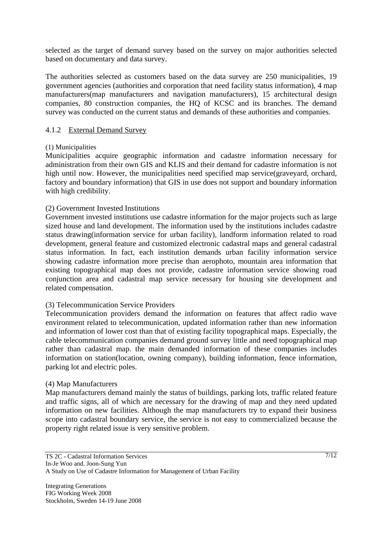selected as the target of demand survey based on the survey on major authorities selected based on documentary and data survey.

The authorities selected as customers based on the data survey are 250 municipalities, 19 government agencies (authorities and corporation that need facility status information), 4 map manufacturers(map manufacturers and navigation manufacturers), 15 architectural design companies, 80 construction companies, the HQ of KCSC and its branches. The demand survey was conducted on the current status and demands of these authorities and companies.

### 4.1.2 External Demand Survey

#### (1) Municipalities

Municipalities acquire geographic information and cadastre information necessary for administration from their own GIS and KLIS and their demand for cadastre information is not high until now. However, the municipalities need specified map service(graveyard, orchard, factory and boundary information) that GIS in use does not support and boundary information with high credibility.

### (2) Government Invested Institutions

Government invested institutions use cadastre information for the major projects such as large sized house and land development. The information used by the institutions includes cadastre status drawing(information service for urban facility), landform information related to road development, general feature and customized electronic cadastral maps and general cadastral status information. In fact, each institution demands urban facility information service showing cadastre information more precise than aerophoto, mountain area information that existing topographical map does not provide, cadastre information service showing road conjunction area and cadastral map service necessary for housing site development and related compensation.

### (3) Telecommunication Service Providers

Telecommunication providers demand the information on features that affect radio wave environment related to telecommunication, updated information rather than new information and information of lower cost than that of existing facility topographical maps. Especially, the cable telecommunication companies demand ground survey little and need topographical map rather than cadastral map. the main demanded information of these companies includes information on station(location, owning company), building information, fence information, parking lot and electric poles.

### (4) Map Manufacturers

Map manufacturers demand mainly the status of buildings, parking lots, traffic related feature and traffic signs, all of which are necessary for the drawing of map and they need updated information on new facilities. Although the map manufacturers try to expand their business scope into cadastral boundary service, the service is not easy to commercialized because the property right related issue is very sensitive problem.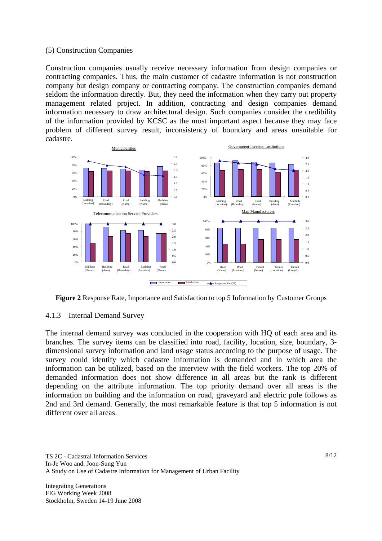#### (5) Construction Companies

Construction companies usually receive necessary information from design companies or contracting companies. Thus, the main customer of cadastre information is not construction company but design company or contracting company. The construction companies demand seldom the information directly. But, they need the information when they carry out property management related project. In addition, contracting and design companies demand information necessary to draw architectural design. Such companies consider the credibility of the information provided by KCSC as the most important aspect because they may face problem of different survey result, inconsistency of boundary and areas unsuitable for cadastre.



**Figure 2** Response Rate, Importance and Satisfaction to top 5 Information by Customer Groups

#### 4.1.3 Internal Demand Survey

The internal demand survey was conducted in the cooperation with HQ of each area and its branches. The survey items can be classified into road, facility, location, size, boundary, 3 dimensional survey information and land usage status according to the purpose of usage. The survey could identify which cadastre information is demanded and in which area the information can be utilized, based on the interview with the field workers. The top 20% of demanded information does not show difference in all areas but the rank is different depending on the attribute information. The top priority demand over all areas is the information on building and the information on road, graveyard and electric pole follows as 2nd and 3rd demand. Generally, the most remarkable feature is that top 5 information is not different over all areas.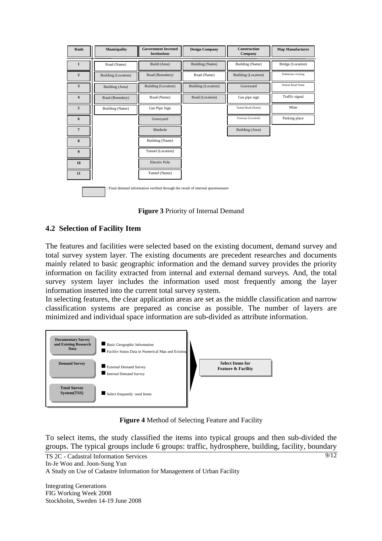| Rank                                                                             | Municipality        | <b>Government Invested</b><br><b>Institutions</b> | <b>Design Company</b>      | <b>Construction</b><br>Company | <b>Map Manufacturer</b>  |
|----------------------------------------------------------------------------------|---------------------|---------------------------------------------------|----------------------------|--------------------------------|--------------------------|
| $\mathbf{1}$                                                                     | Road (Name)         | Build (Area)                                      | Building (Name)            | Building (Name)                | Bridge (Location)        |
| $\overline{2}$                                                                   | Building (Location) | Road (Boundary)                                   | Road (Name)                | Building (Location)            | Pedestrian crossing      |
| 3                                                                                | Building (Area)     | Building (Location)                               | <b>Building</b> (Location) | Graveyard                      | <b>Station Road Name</b> |
| 4                                                                                | Road (Boundary)     | Road (Name)                                       | Road (Location)            | Gas pipe sign                  | Traffic signal           |
| 5                                                                                | Building (Name)     | Gas Pipe Sign                                     |                            | Tunnel Road (Name)             | Mine                     |
| 6                                                                                |                     | Graveyard                                         |                            | Footway (Location)             | Parking place            |
| $7\phantom{.}$                                                                   |                     | Manhole                                           |                            | Building (Area)                |                          |
| 8                                                                                |                     | Building (Name)                                   |                            |                                |                          |
| 9                                                                                |                     | Tunnel (Location)                                 |                            |                                |                          |
| 10                                                                               |                     | <b>Electric Pole</b>                              |                            |                                |                          |
| 11                                                                               |                     | Tunnel (Name)                                     |                            |                                |                          |
| : Final demand information verified through the result of internal questionnaire |                     |                                                   |                            |                                |                          |

**Figure 3** Priority of Internal Demand

### **4.2 Selection of Facility Item**

The features and facilities were selected based on the existing document, demand survey and total survey system layer. The existing documents are precedent researches and documents mainly related to basic geographic information and the demand survey provides the priority information on facility extracted from internal and external demand surveys. And, the total survey system layer includes the information used most frequently among the layer information inserted into the current total survey system.

In selecting features, the clear application areas are set as the middle classification and narrow classification systems are prepared as concise as possible. The number of layers are minimized and individual space information are sub-divided as attribute information.



**Figure 4** Method of Selecting Feature and Facility

 $9/12$ To select items, the study classified the items into typical groups and then sub-divided the groups. The typical groups include 6 groups: traffic, hydrosphere, building, facility, boundary



Integrating Generations FIG Working Week 2008 Stockholm, Sweden 14-19 June 2008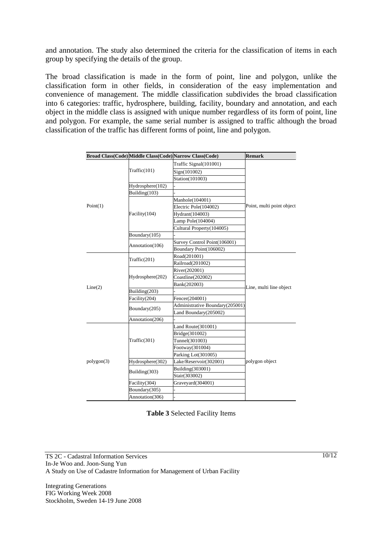and annotation. The study also determined the criteria for the classification of items in each group by specifying the details of the group.

The broad classification is made in the form of point, line and polygon, unlike the classification form in other fields, in consideration of the easy implementation and convenience of management. The middle classification subdivides the broad classification into 6 categories: traffic, hydrosphere, building, facility, boundary and annotation, and each object in the middle class is assigned with unique number regardless of its form of point, line and polygon. For example, the same serial number is assigned to traffic although the broad classification of the traffic has different forms of point, line and polygon.

|            |                  | Broad Class(Code) Middle Class(Code) Narrow Class(Code) | <b>Remark</b>             |  |
|------------|------------------|---------------------------------------------------------|---------------------------|--|
|            |                  | Traffic Signal(101001)                                  |                           |  |
|            | Traffic(101)     | Sign(101002)                                            |                           |  |
|            |                  | Station(101003)                                         |                           |  |
|            | Hydrosphere(102) |                                                         |                           |  |
|            | Building(103)    |                                                         |                           |  |
|            |                  | Manhole(104001)                                         |                           |  |
| Point(1)   |                  | Electric Pole(104002)                                   | Point, multi point object |  |
|            | Facility(104)    | Hydrant(104003)                                         |                           |  |
|            |                  | Lamp Pole(104004)                                       |                           |  |
|            |                  | Cultural Property(104005)                               |                           |  |
|            | Boundary(105)    |                                                         |                           |  |
|            |                  | Survey Control Point(106001)                            |                           |  |
|            | Annotation(106)  | Boundary Point(106002)                                  |                           |  |
|            | Traffic(201)     | Road(201001)                                            |                           |  |
|            |                  | Railroad(201002)                                        |                           |  |
|            |                  | River(202001)                                           |                           |  |
|            | Hydrosphere(202) | Coastline(202002)                                       |                           |  |
| Line(2)    |                  | Bank(202003)                                            |                           |  |
|            | Building(203)    |                                                         | Line, multi line object   |  |
|            | Facility(204)    | Fencer(204001)                                          |                           |  |
|            | Boundary(205)    | Administrative Boundary(205001)                         |                           |  |
|            |                  | Land Boundary(205002)                                   |                           |  |
|            | Annotation(206)  |                                                         |                           |  |
|            | Traffic(301)     | Land Route(301001)                                      |                           |  |
|            |                  | Bridge(301002)                                          |                           |  |
|            |                  | Tunnel(301003)                                          |                           |  |
|            |                  | Footway(301004)                                         |                           |  |
|            |                  | Parking Lot(301005)                                     |                           |  |
| polygon(3) | Hydrosphere(302) | Lake/Reservoir(302001)                                  | polygon object            |  |
|            | Building(303)    | Building(303001)                                        |                           |  |
|            |                  | Stair(303002)                                           |                           |  |
|            | Facility(304)    | Graveyard(304001)                                       |                           |  |
|            | Boundary(305)    |                                                         |                           |  |
|            | Annotation(306)  |                                                         |                           |  |

**Table 3** Selected Facility Items

TS 2C - Cadastral Information Services In-Je Woo and. Joon-Sung Yun A Study on Use of Cadastre Information for Management of Urban Facility

Integrating Generations FIG Working Week 2008 Stockholm, Sweden 14-19 June 2008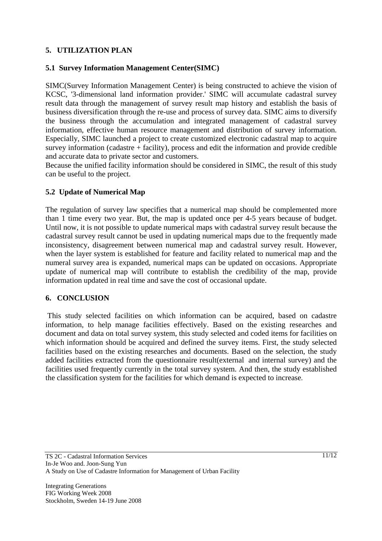# **5. UTILIZATION PLAN**

### **5.1 Survey Information Management Center(SIMC)**

SIMC(Survey Information Management Center) is being constructed to achieve the vision of KCSC, '3-dimensional land information provider.' SIMC will accumulate cadastral survey result data through the management of survey result map history and establish the basis of business diversification through the re-use and process of survey data. SIMC aims to diversify the business through the accumulation and integrated management of cadastral survey information, effective human resource management and distribution of survey information. Especially, SIMC launched a project to create customized electronic cadastral map to acquire survey information (cadastre + facility), process and edit the information and provide credible and accurate data to private sector and customers.

Because the unified facility information should be considered in SIMC, the result of this study can be useful to the project.

#### **5.2 Update of Numerical Map**

The regulation of survey law specifies that a numerical map should be complemented more than 1 time every two year. But, the map is updated once per 4-5 years because of budget. Until now, it is not possible to update numerical maps with cadastral survey result because the cadastral survey result cannot be used in updating numerical maps due to the frequently made inconsistency, disagreement between numerical map and cadastral survey result. However, when the layer system is established for feature and facility related to numerical map and the numeral survey area is expanded, numerical maps can be updated on occasions. Appropriate update of numerical map will contribute to establish the credibility of the map, provide information updated in real time and save the cost of occasional update.

### **6. CONCLUSION**

 This study selected facilities on which information can be acquired, based on cadastre information, to help manage facilities effectively. Based on the existing researches and document and data on total survey system, this study selected and coded items for facilities on which information should be acquired and defined the survey items. First, the study selected facilities based on the existing researches and documents. Based on the selection, the study added facilities extracted from the questionnaire result(external and internal survey) and the facilities used frequently currently in the total survey system. And then, the study established the classification system for the facilities for which demand is expected to increase.